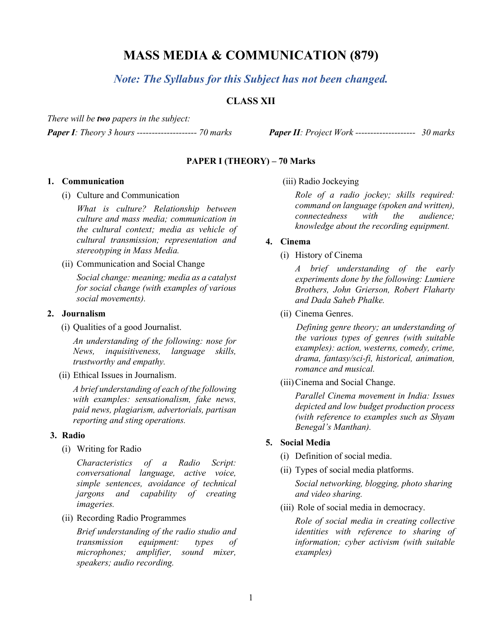# **MASS MEDIA & COMMUNICATION (879)**

*Note: The Syllabus for this Subject has not been changed.*

# **CLASS XII**

*There will be two papers in the subject:*

*Paper I: Theory 3 hours -------------------- 70 marks Paper II: Project Work -------------------- 30 marks*

#### **PAPER I (THEORY) – 70 Marks**

#### **1. Communication**

(i) Culture and Communication

*What is culture? Relationship between culture and mass media; communication in the cultural context; media as vehicle of cultural transmission; representation and stereotyping in Mass Media.*

(ii) Communication and Social Change

*Social change: meaning; media as a catalyst for social change (with examples of various social movements).*

#### **2. Journalism**

(i) Qualities of a good Journalist.

*An understanding of the following: nose for News, inquisitiveness, language skills, trustworthy and empathy.*

(ii) Ethical Issues in Journalism.

*A brief understanding of each of the following with examples: sensationalism, fake news, paid news, plagiarism, advertorials, partisan reporting and sting operations.*

#### **3. Radio**

(i) Writing for Radio

*Characteristics of a Radio Script: conversational language, active voice, simple sentences, avoidance of technical jargons and capability of creating imageries.*

(ii) Recording Radio Programmes

*Brief understanding of the radio studio and transmission equipment: types of microphones; amplifier, sound mixer, speakers; audio recording.*

(iii) Radio Jockeying

*Role of a radio jockey; skills required: command on language (spoken and written), connectedness with the audience; knowledge about the recording equipment.*

#### **4. Cinema**

(i) History of Cinema

*A brief understanding of the early experiments done by the following: Lumiere Brothers, John Grierson, Robert Flaharty and Dada Saheb Phalke.*

(ii) Cinema Genres.

 *Defining genre theory; an understanding of the various types of genres (with suitable examples): action, westerns, comedy, crime, drama, fantasy/sci-fi, historical, animation, romance and musical.* 

(iii)Cinema and Social Change.

*Parallel Cinema movement in India: Issues depicted and low budget production process (with reference to examples such as Shyam Benegal's Manthan).*

#### **5. Social Media**

- (i) Definition of social media.
- (ii) Types of social media platforms.

*Social networking, blogging, photo sharing and video sharing.*

(iii) Role of social media in democracy.

*Role of social media in creating collective identities with reference to sharing of information; cyber activism (with suitable examples)*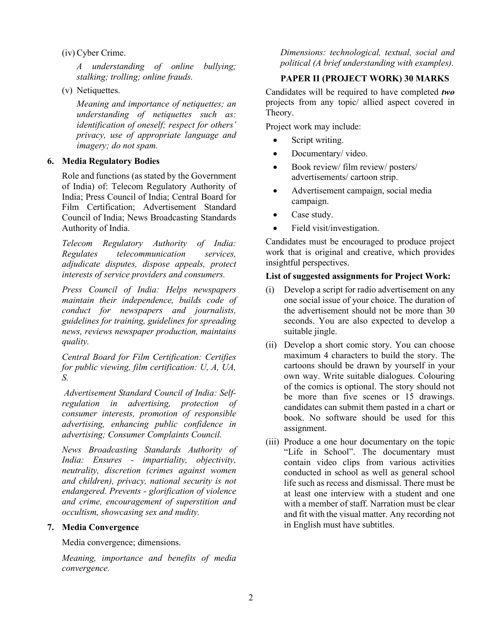(iv) Cyber Crime.

*A understanding of online bullying; stalking; trolling; online frauds.*

(v) Netiquettes.

*Meaning and importance of netiquettes; an understanding of netiquettes such as: identification of oneself; respect for others' privacy, use of appropriate language and imagery; do not spam.*

## **6. Media Regulatory Bodies**

Role and functions (as stated by the Government of India) of: Telecom Regulatory Authority of India; Press Council of India; Central Board for Film Certification; Advertisement Standard Council of India; News Broadcasting Standards Authority of India.

*Telecom Regulatory Authority of India: Regulates telecommunication services, adjudicate disputes, dispose appeals, protect interests of service providers and consumers.*

*Press Council of India: Helps newspapers maintain their independence, builds code of conduct for newspapers and journalists, guidelines for training, guidelines for spreading news, reviews newspaper production, maintains quality.*

*Central Board for Film Certification: Certifies for public viewing, film certification: U, A, UA, S.*

*Advertisement Standard Council of India: Selfregulation in advertising, protection of consumer interests, promotion of responsible advertising, enhancing public confidence in advertising; Consumer Complaints Council.*

*News Broadcasting Standards Authority of India: Ensures - impartiality, objectivity, neutrality, discretion (crimes against women and children), privacy, national security is not endangered. Prevents - glorification of violence and crime, encouragement of superstition and occultism, showcasing sex and nudity.*

## **7. Media Convergence**

Media convergence; dimensions.

*Meaning, importance and benefits of media convergence.*

*Dimensions: technological, textual, social and political (A brief understanding with examples).*

# **PAPER II (PROJECT WORK) 30 MARKS**

Candidates will be required to have completed *two* projects from any topic/ allied aspect covered in Theory.

Project work may include:

- Script writing.
- Documentary/video.
- Book review/ film review/ posters/ advertisements/ cartoon strip.
- Advertisement campaign, social media campaign.
- Case study.
- Field visit/investigation.

Candidates must be encouraged to produce project work that is original and creative, which provides insightful perspectives.

#### **List of suggested assignments for Project Work:**

- (i) Develop a script for radio advertisement on any one social issue of your choice. The duration of the advertisement should not be more than 30 seconds. You are also expected to develop a suitable jingle.
- (ii) Develop a short comic story. You can choose maximum 4 characters to build the story. The cartoons should be drawn by yourself in your own way. Write suitable dialogues. Colouring of the comics is optional. The story should not be more than five scenes or 15 drawings. candidates can submit them pasted in a chart or book. No software should be used for this assignment.
- (iii) Produce a one hour documentary on the topic "Life in School". The documentary must contain video clips from various activities conducted in school as well as general school life such as recess and dismissal. There must be at least one interview with a student and one with a member of staff. Narration must be clear and fit with the visual matter. Any recording not in English must have subtitles.